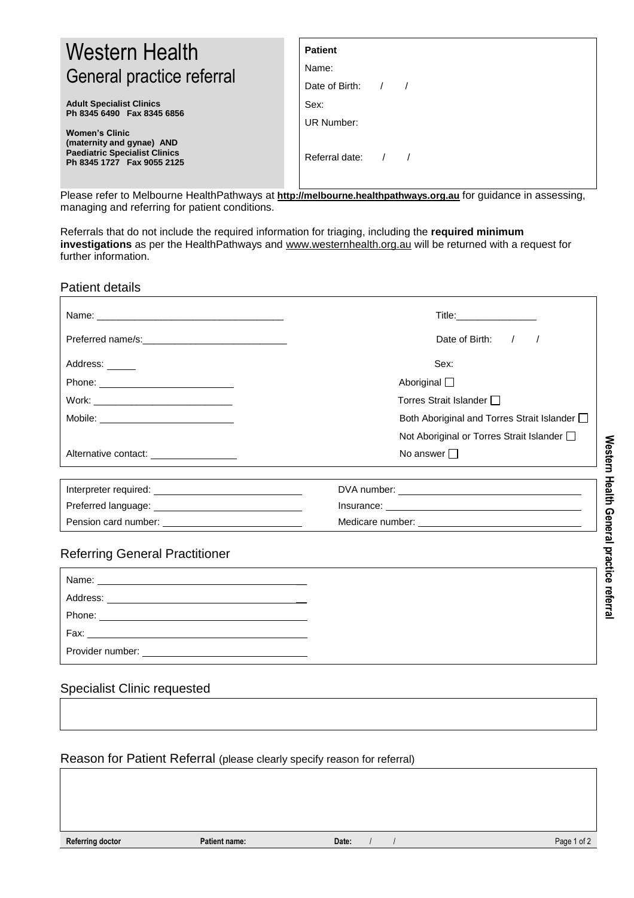| Western Health<br>General practice referral                                                                              | <b>Patient</b><br>Name:<br>Date of Birth: $/$ / |
|--------------------------------------------------------------------------------------------------------------------------|-------------------------------------------------|
| <b>Adult Specialist Clinics</b><br>Ph 8345 6490 Fax 8345 6856                                                            | Sex:<br>UR Number:                              |
| <b>Women's Clinic</b><br>(maternity and gynae) AND<br><b>Paediatric Specialist Clinics</b><br>Ph 8345 1727 Fax 9055 2125 | Referral date: $/$ /                            |

Please refer to Melbourne HealthPathways at **[http://melbourne.healthpathways.org.au](http://melbourne.healthpathways.org.au/)** for guidance in assessing, managing and referring for patient conditions.

Referrals that do not include the required information for triaging, including the **required minimum investigations** as per the HealthPathways and [www.westernhealth.org.au](http://www.westernhealth.org.au/) will be returned with a request for further information.

Patient details

|                                                              | Date of Birth: / /                           |  |
|--------------------------------------------------------------|----------------------------------------------|--|
| Address:                                                     | Sex:                                         |  |
|                                                              | Aboriginal $\square$                         |  |
|                                                              | Torres Strait Islander $\Box$                |  |
|                                                              | Both Aboriginal and Torres Strait Islander [ |  |
|                                                              | Not Aboriginal or Torres Strait Islander [   |  |
| Alternative contact: __________________                      | No answer $\Box$                             |  |
|                                                              |                                              |  |
|                                                              |                                              |  |
|                                                              |                                              |  |
| Pension card number: <u>________________________________</u> |                                              |  |

## Referring General Practitioner

| Phone: _______________                 |  |
|----------------------------------------|--|
| Fax: __ <b>_____________________</b> _ |  |
| Provider number:                       |  |

## Specialist Clinic requested

Reason for Patient Referral (please clearly specify reason for referral)

| Referring doctor | <b>Patient name:</b> | Date: | $1$ of $2$<br>Page |
|------------------|----------------------|-------|--------------------|
|------------------|----------------------|-------|--------------------|